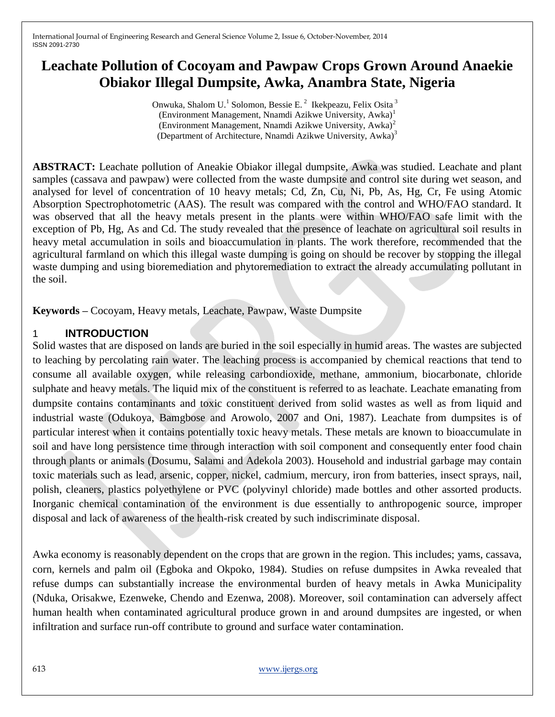# **Leachate Pollution of Cocoyam and Pawpaw Crops Grown Around Anaekie Obiakor Illegal Dumpsite, Awka, Anambra State, Nigeria**

Onwuka, Shalom U.<sup>1</sup> Solomon, Bessie E.<sup>2</sup> Ikekpeazu, Felix Osita<sup>3</sup> (Environment Management, Nnamdi Azikwe University, Awka)<sup>1</sup> (Environment Management, Nnamdi Azikwe University, Awka)<sup>2</sup> (Department of Architecture, Nnamdi Azikwe University, Awka)<sup>3</sup>

**ABSTRACT:** Leachate pollution of Aneakie Obiakor illegal dumpsite, Awka was studied. Leachate and plant samples (cassava and pawpaw) were collected from the waste dumpsite and control site during wet season, and analysed for level of concentration of 10 heavy metals; Cd, Zn, Cu, Ni, Pb, As, Hg, Cr, Fe using Atomic Absorption Spectrophotometric (AAS). The result was compared with the control and WHO/FAO standard. It was observed that all the heavy metals present in the plants were within WHO/FAO safe limit with the exception of Pb, Hg, As and Cd. The study revealed that the presence of leachate on agricultural soil results in heavy metal accumulation in soils and bioaccumulation in plants. The work therefore, recommended that the agricultural farmland on which this illegal waste dumping is going on should be recover by stopping the illegal waste dumping and using bioremediation and phytoremediation to extract the already accumulating pollutant in the soil.

**Keywords –** Cocoyam, Heavy metals, Leachate, Pawpaw, Waste Dumpsite

# 1 **INTRODUCTION**

Solid wastes that are disposed on lands are buried in the soil especially in humid areas. The wastes are subjected to leaching by percolating rain water. The leaching process is accompanied by chemical reactions that tend to consume all available oxygen, while releasing carbondioxide, methane, ammonium, biocarbonate, chloride sulphate and heavy metals. The liquid mix of the constituent is referred to as leachate. Leachate emanating from dumpsite contains contaminants and toxic constituent derived from solid wastes as well as from liquid and industrial waste (Odukoya, Bamgbose and Arowolo, 2007 and Oni, 1987). Leachate from dumpsites is of particular interest when it contains potentially toxic heavy metals. These metals are known to bioaccumulate in soil and have long persistence time through interaction with soil component and consequently enter food chain through plants or animals (Dosumu, Salami and Adekola 2003). Household and industrial garbage may contain toxic materials such as lead, arsenic, copper, nickel, cadmium, mercury, iron from batteries, insect sprays, nail, polish, cleaners, plastics polyethylene or PVC (polyvinyl chloride) made bottles and other assorted products. Inorganic chemical contamination of the environment is due essentially to anthropogenic source, improper disposal and lack of awareness of the health-risk created by such indiscriminate disposal.

Awka economy is reasonably dependent on the crops that are grown in the region. This includes; yams, cassava, corn, kernels and palm oil (Egboka and Okpoko, 1984). Studies on refuse dumpsites in Awka revealed that refuse dumps can substantially increase the environmental burden of heavy metals in Awka Municipality (Nduka, Orisakwe, Ezenweke, Chendo and Ezenwa, 2008). Moreover, soil contamination can adversely affect human health when contaminated agricultural produce grown in and around dumpsites are ingested, or when infiltration and surface run-off contribute to ground and surface water contamination.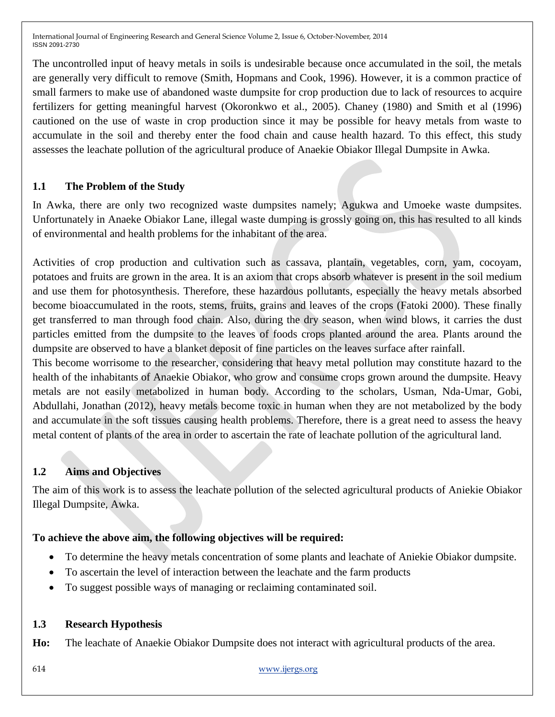The uncontrolled input of heavy metals in soils is undesirable because once accumulated in the soil, the metals are generally very difficult to remove (Smith, Hopmans and Cook, 1996). However, it is a common practice of small farmers to make use of abandoned waste dumpsite for crop production due to lack of resources to acquire fertilizers for getting meaningful harvest (Okoronkwo et al., 2005). Chaney (1980) and Smith et al (1996) cautioned on the use of waste in crop production since it may be possible for heavy metals from waste to accumulate in the soil and thereby enter the food chain and cause health hazard. To this effect, this study assesses the leachate pollution of the agricultural produce of Anaekie Obiakor Illegal Dumpsite in Awka.

# **1.1 The Problem of the Study**

In Awka, there are only two recognized waste dumpsites namely; Agukwa and Umoeke waste dumpsites. Unfortunately in Anaeke Obiakor Lane, illegal waste dumping is grossly going on, this has resulted to all kinds of environmental and health problems for the inhabitant of the area.

Activities of crop production and cultivation such as cassava, plantain, vegetables, corn, yam, cocoyam, potatoes and fruits are grown in the area. It is an axiom that crops absorb whatever is present in the soil medium and use them for photosynthesis. Therefore, these hazardous pollutants, especially the heavy metals absorbed become bioaccumulated in the roots, stems, fruits, grains and leaves of the crops (Fatoki 2000). These finally get transferred to man through food chain. Also, during the dry season, when wind blows, it carries the dust particles emitted from the dumpsite to the leaves of foods crops planted around the area. Plants around the dumpsite are observed to have a blanket deposit of fine particles on the leaves surface after rainfall.

This become worrisome to the researcher, considering that heavy metal pollution may constitute hazard to the health of the inhabitants of Anaekie Obiakor, who grow and consume crops grown around the dumpsite. Heavy metals are not easily metabolized in human body. According to the scholars, Usman, Nda-Umar, Gobi, Abdullahi, Jonathan (2012), heavy metals become toxic in human when they are not metabolized by the body and accumulate in the soft tissues causing health problems. Therefore, there is a great need to assess the heavy metal content of plants of the area in order to ascertain the rate of leachate pollution of the agricultural land.

## **1.2 Aims and Objectives**

The aim of this work is to assess the leachate pollution of the selected agricultural products of Aniekie Obiakor Illegal Dumpsite, Awka.

## **To achieve the above aim, the following objectives will be required:**

- To determine the heavy metals concentration of some plants and leachate of Aniekie Obiakor dumpsite.
- To ascertain the level of interaction between the leachate and the farm products
- To suggest possible ways of managing or reclaiming contaminated soil.

#### **1.3 Research Hypothesis**

**Ho:** The leachate of Anaekie Obiakor Dumpsite does not interact with agricultural products of the area.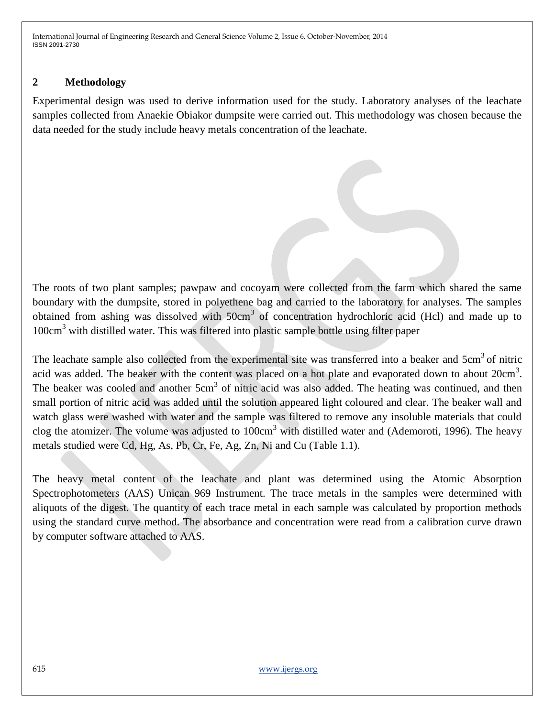## **2 Methodology**

Experimental design was used to derive information used for the study. Laboratory analyses of the leachate samples collected from Anaekie Obiakor dumpsite were carried out. This methodology was chosen because the data needed for the study include heavy metals concentration of the leachate.

The roots of two plant samples; pawpaw and cocoyam were collected from the farm which shared the same boundary with the dumpsite, stored in polyethene bag and carried to the laboratory for analyses. The samples obtained from ashing was dissolved with 50cm<sup>3</sup> of concentration hydrochloric acid (Hcl) and made up to  $100 \text{cm}^3$  with distilled water. This was filtered into plastic sample bottle using filter paper

The leachate sample also collected from the experimental site was transferred into a beaker and 5cm<sup>3</sup> of nitric acid was added. The beaker with the content was placed on a hot plate and evaporated down to about  $20 \text{cm}^3$ . The beaker was cooled and another 5cm<sup>3</sup> of nitric acid was also added. The heating was continued, and then small portion of nitric acid was added until the solution appeared light coloured and clear. The beaker wall and watch glass were washed with water and the sample was filtered to remove any insoluble materials that could clog the atomizer. The volume was adjusted to  $100 \text{cm}^3$  with distilled water and (Ademoroti, 1996). The heavy metals studied were Cd, Hg, As, Pb, Cr, Fe, Ag, Zn, Ni and Cu (Table 1.1).

The heavy metal content of the leachate and plant was determined using the Atomic Absorption Spectrophotometers (AAS) Unican 969 Instrument. The trace metals in the samples were determined with aliquots of the digest. The quantity of each trace metal in each sample was calculated by proportion methods using the standard curve method. The absorbance and concentration were read from a calibration curve drawn by computer software attached to AAS.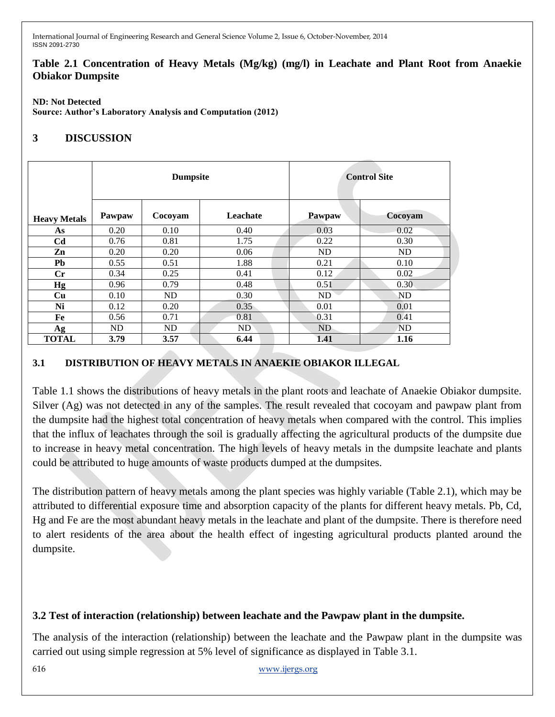#### **Table 2.1 Concentration of Heavy Metals (Mg/kg) (mg/l) in Leachate and Plant Root from Anaekie Obiakor Dumpsite**

#### **ND: Not Detected**

**Source: Author's Laboratory Analysis and Computation (2012)**

# **3 DISCUSSION**

|                        | <b>Dumpsite</b> |         |          | <b>Control Site</b> |           |  |
|------------------------|-----------------|---------|----------|---------------------|-----------|--|
| <b>Heavy Metals</b>    | Pawpaw          | Cocoyam | Leachate | Pawpaw              | Cocoyam   |  |
| As                     | 0.20            | 0.10    | 0.40     | 0.03                | 0.02      |  |
| C <sub>d</sub>         | 0.76            | 0.81    | 1.75     | 0.22                | 0.30      |  |
| Zn                     | 0.20            | 0.20    | 0.06     | <b>ND</b>           | <b>ND</b> |  |
| Pb                     | 0.55            | 0.51    | 1.88     | 0.21                | 0.10      |  |
| $\mathbf{C}\mathbf{r}$ | 0.34            | 0.25    | 0.41     | 0.12                | 0.02      |  |
| Hg                     | 0.96            | 0.79    | 0.48     | 0.51                | 0.30      |  |
| Cu                     | 0.10            | ND      | 0.30     | ND                  | <b>ND</b> |  |
| Ni                     | 0.12            | 0.20    | 0.35     | 0.01                | 0.01      |  |
| Fe                     | 0.56            | 0.71    | 0.81     | 0.31                | 0.41      |  |
| Ag                     | ND              | ND      | ND       | ND                  | <b>ND</b> |  |
| <b>TOTAL</b>           | 3.79            | 3.57    | 6.44     | 1.41                | 1.16      |  |

## **3.1 DISTRIBUTION OF HEAVY METALS IN ANAEKIE OBIAKOR ILLEGAL**

Table 1.1 shows the distributions of heavy metals in the plant roots and leachate of Anaekie Obiakor dumpsite. Silver (Ag) was not detected in any of the samples. The result revealed that cocoyam and pawpaw plant from the dumpsite had the highest total concentration of heavy metals when compared with the control. This implies that the influx of leachates through the soil is gradually affecting the agricultural products of the dumpsite due to increase in heavy metal concentration. The high levels of heavy metals in the dumpsite leachate and plants could be attributed to huge amounts of waste products dumped at the dumpsites.

The distribution pattern of heavy metals among the plant species was highly variable (Table 2.1), which may be attributed to differential exposure time and absorption capacity of the plants for different heavy metals. Pb, Cd, Hg and Fe are the most abundant heavy metals in the leachate and plant of the dumpsite. There is therefore need to alert residents of the area about the health effect of ingesting agricultural products planted around the dumpsite.

## **3.2 Test of interaction (relationship) between leachate and the Pawpaw plant in the dumpsite.**

The analysis of the interaction (relationship) between the leachate and the Pawpaw plant in the dumpsite was carried out using simple regression at 5% level of significance as displayed in Table 3.1.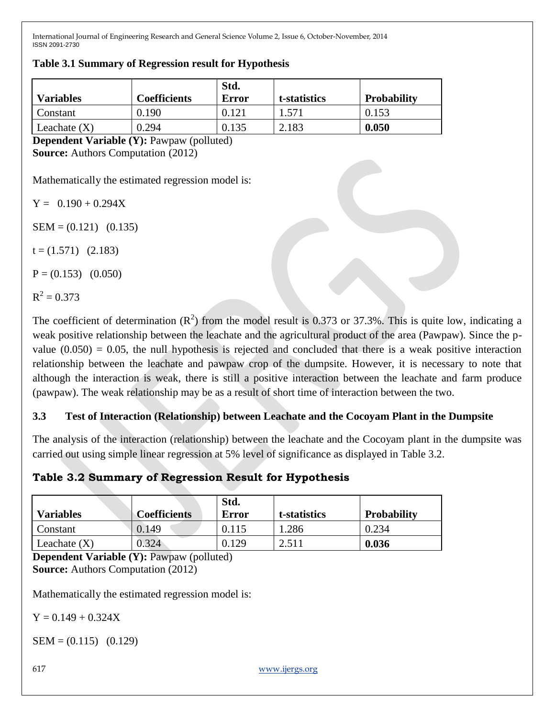| <b>Variables</b> | <b>Coefficients</b> | Std.<br>Error | t-statistics        | <b>Probability</b> |
|------------------|---------------------|---------------|---------------------|--------------------|
| Constant         | 0.190               | 0.121         | $1.57$ <sup>[</sup> | 0.153              |
| Leachate $(X)$   | 0.294               | 0.135         | 2.183               | 0.050              |

#### **Table 3.1 Summary of Regression result for Hypothesis**

**Dependent Variable (Y):** Pawpaw (polluted) **Source:** Authors Computation (2012)

Mathematically the estimated regression model is:

 $Y = 0.190 + 0.294X$ 

 $SEM = (0.121)$  (0.135)

 $t = (1.571)$  (2.183)

 $P = (0.153)$   $(0.050)$ 

 $R^2 = 0.373$ 

The coefficient of determination  $(R^2)$  from the model result is 0.373 or 37.3%. This is quite low, indicating a weak positive relationship between the leachate and the agricultural product of the area (Pawpaw). Since the pvalue  $(0.050) = 0.05$ , the null hypothesis is rejected and concluded that there is a weak positive interaction relationship between the leachate and pawpaw crop of the dumpsite. However, it is necessary to note that although the interaction is weak, there is still a positive interaction between the leachate and farm produce (pawpaw). The weak relationship may be as a result of short time of interaction between the two.

# **3.3 Test of Interaction (Relationship) between Leachate and the Cocoyam Plant in the Dumpsite**

The analysis of the interaction (relationship) between the leachate and the Cocoyam plant in the dumpsite was carried out using simple linear regression at 5% level of significance as displayed in Table 3.2.

# **Table 3.2 Summary of Regression Result for Hypothesis**

| <b>Variables</b> | <b>Coefficients</b> | Std.<br>Error | t-statistics | <b>Probability</b> |
|------------------|---------------------|---------------|--------------|--------------------|
| Constant         | 0.149               | 0.115         | 1.286        | 0.234              |
| Leachate $(X)$   | 0.324               | . 129         | 2.511        | 0.036              |

**Dependent Variable (Y):** Pawpaw (polluted) **Source:** Authors Computation (2012)

Mathematically the estimated regression model is:

 $Y = 0.149 + 0.324X$ 

 $SEM = (0.115)$   $(0.129)$ 

617 www.ijergs.org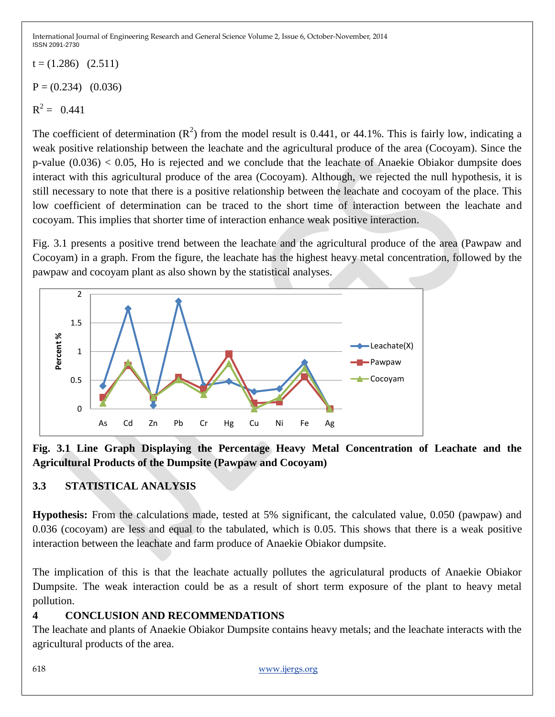$t = (1.286)$   $(2.511)$  $P = (0.234)$  (0.036)

 $R^2 = 0.441$ 

The coefficient of determination  $(R^2)$  from the model result is 0.441, or 44.1%. This is fairly low, indicating a weak positive relationship between the leachate and the agricultural produce of the area (Cocoyam). Since the p-value  $(0.036) < 0.05$ , Ho is rejected and we conclude that the leachate of Anaekie Obiakor dumpsite does interact with this agricultural produce of the area (Cocoyam). Although, we rejected the null hypothesis, it is still necessary to note that there is a positive relationship between the leachate and cocoyam of the place. This low coefficient of determination can be traced to the short time of interaction between the leachate and cocoyam. This implies that shorter time of interaction enhance weak positive interaction.

Fig. 3.1 presents a positive trend between the leachate and the agricultural produce of the area (Pawpaw and Cocoyam) in a graph. From the figure, the leachate has the highest heavy metal concentration, followed by the pawpaw and cocoyam plant as also shown by the statistical analyses.



**Fig. 3.1 Line Graph Displaying the Percentage Heavy Metal Concentration of Leachate and the Agricultural Products of the Dumpsite (Pawpaw and Cocoyam)**

# **3.3 STATISTICAL ANALYSIS**

**Hypothesis:** From the calculations made, tested at 5% significant, the calculated value, 0.050 (pawpaw) and 0.036 (cocoyam) are less and equal to the tabulated, which is 0.05. This shows that there is a weak positive interaction between the leachate and farm produce of Anaekie Obiakor dumpsite.

The implication of this is that the leachate actually pollutes the agriculatural products of Anaekie Obiakor Dumpsite. The weak interaction could be as a result of short term exposure of the plant to heavy metal pollution.

# **4 CONCLUSION AND RECOMMENDATIONS**

The leachate and plants of Anaekie Obiakor Dumpsite contains heavy metals; and the leachate interacts with the agricultural products of the area.